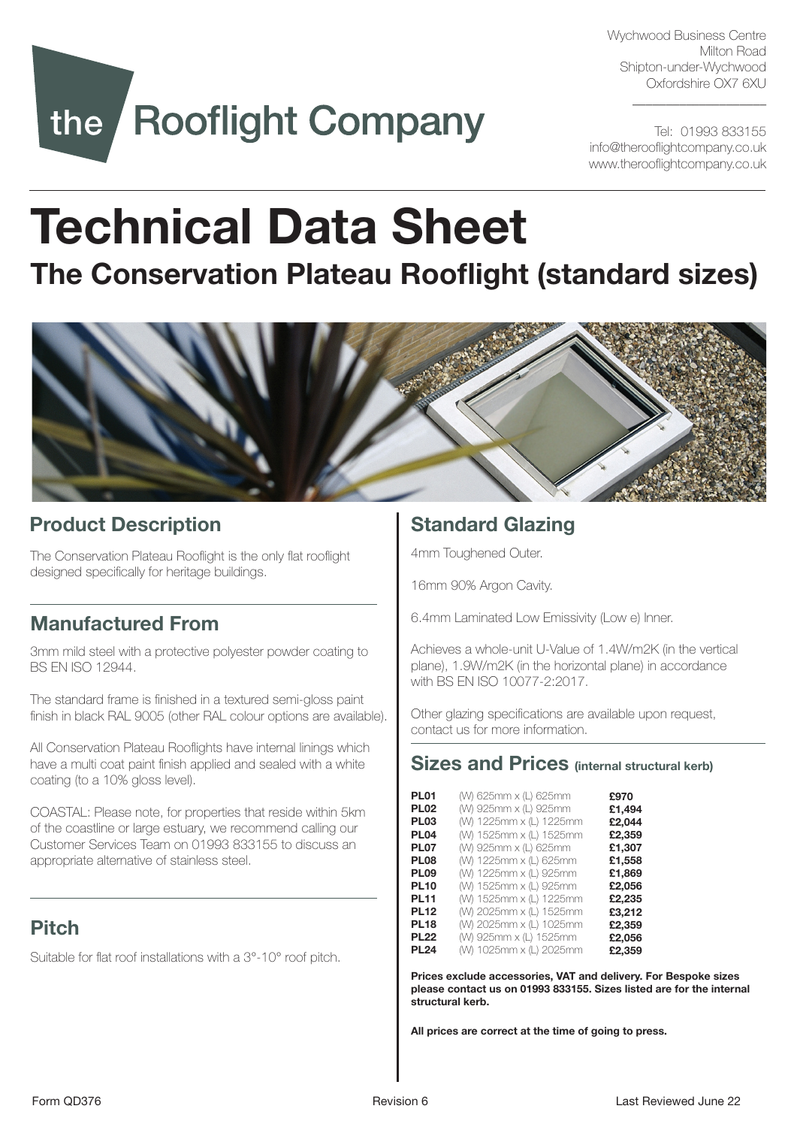Wychwood Business Centre Milton Road Shipton-under-Wychwood Oxfordshire OX7 6XU

\_\_\_\_\_\_\_\_\_\_\_\_\_\_\_\_\_\_\_\_

# the Rooflight Company

Tel: 01993 833155 info@therooflightcompany.co.uk www.therooflightcompany.co.uk

## Technical Data Sheet

## The Conservation Plateau Rooflight (standard sizes)



## Product Description

The Conservation Plateau Rooflight is the only flat rooflight designed specifically for heritage buildings.

## Manufactured From

3mm mild steel with a protective polyester powder coating to BS EN ISO 12944.

The standard frame is finished in a textured semi-gloss paint finish in black RAL 9005 (other RAL colour options are available).

All Conservation Plateau Rooflights have internal linings which have a multi coat paint finish applied and sealed with a white coating (to a 10% gloss level).

COASTAL: Please note, for properties that reside within 5km of the coastline or large estuary, we recommend calling our Customer Services Team on 01993 833155 to discuss an appropriate alternative of stainless steel.

## Pitch

Suitable for flat roof installations with a 3°-10° roof pitch.

## Standard Glazing

4mm Toughened Outer.

16mm 90% Argon Cavity.

6.4mm Laminated Low Emissivity (Low e) Inner.

Achieves a whole-unit U-Value of 1.4W/m2K (in the vertical plane), 1.9W/m2K (in the horizontal plane) in accordance with BS EN ISO 10077-2:2017.

Other glazing specifications are available upon request, contact us for more information.

## Sizes and Prices (internal structural kerb)

| PL01             | (W) 625mm x (L) 625mm   | £970   |
|------------------|-------------------------|--------|
| <b>PL02</b>      | (W) 925mm x (L) 925mm   | £1,494 |
| <b>PL03</b>      | (W) 1225mm x (L) 1225mm | £2,044 |
| PL <sub>04</sub> | (W) 1525mm x (L) 1525mm | £2,359 |
| <b>PL07</b>      | (W) 925mm x (L) 625mm   | £1,307 |
| <b>PL08</b>      | (W) 1225mm x (L) 625mm  | £1,558 |
| <b>PL09</b>      | (W) 1225mm x (L) 925mm  | £1.869 |
| <b>PL10</b>      | (W) 1525mm x (L) 925mm  | £2,056 |
| <b>PL11</b>      | (W) 1525mm x (L) 1225mm | £2,235 |
| <b>PL12</b>      | (W) 2025mm x (L) 1525mm | £3,212 |
| <b>PL18</b>      | (W) 2025mm x (L) 1025mm | £2,359 |
| <b>PL22</b>      | (W) 925mm x (L) 1525mm  | £2,056 |
| <b>PL24</b>      | (W) 1025mm x (L) 2025mm | £2.359 |
|                  |                         |        |

Prices exclude accessories, VAT and delivery. For Bespoke sizes please contact us on 01993 833155. Sizes listed are for the internal structural kerb.

All prices are correct at the time of going to press.